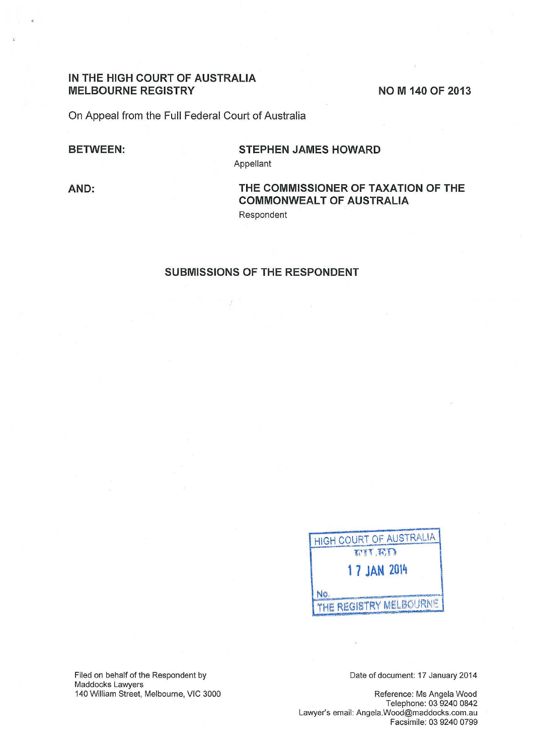## **IN THE HIGH COURT OF AUSTRALIA**  MELBOURNE REGISTRY **NOW 140 OF 2013**

On Appeal from the Full Federal Court of Australia

### **BETWEEN:**

# **STEPHEN JAMES HOWARD**

Appellant

**AND:** 

# **THE COMMISSIONER OF TAXATION OF THE COMMONWEALT OF AUSTRALIA**

Respondent

## **SUBMISSIONS OF THE RESPONDENT**

| IGH COURT OF AUSTRALIA |
|------------------------|
| FIT ED                 |
| <b>17 JAN 2014</b>     |
|                        |
| THE REGISTRY MELBOURNE |

Filed on behalf of the Respondent by Maddocks Lawyers 140 William Street, Melbourne, VIC 3000 Date of document: 17 January 2014

Reference: Ms Angela Wood Telephone: 03 9240 0842 Lawyer's email: Angela.Wood@maddocks.com.au Facsimile: 03 9240 0799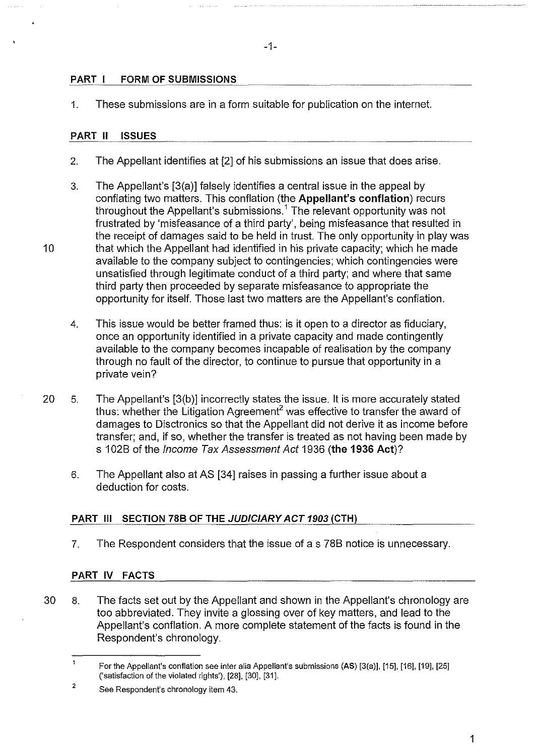#### -1-

## **PART I FORM OF SUBMISSIONS**

1. These submissions are in a form suitable for publication on the internet.

#### **PART II ISSUES**

- 2. The Appellant identifies at [2] of his submissions an issue that does arise.
- 3. The Appellant's [3(a)] falsely identifies a central issue in the appeal by conflating two matters. This conflation (the **Appellant's conflation)** recurs throughout the Appellant's submissions.<sup>1</sup> The relevant opportunity was not frustrated by 'misfeasance of a third party', being misfeasance that resulted in the receipt of damages said to be held in trust. The only opportunity in play was 10 that which the Appellant had identified in his private capacity; which he made available to the company subject to contingencies; which contingencies were unsatisfied through legitimate conduct of a third party; and where that same third party then proceeded by separate misfeasance to appropriate the opportunity for itself. Those last two matters are the Appellant's conflation.
	- 4. This issue would be better framed thus: is it open to a director as fiduciary, once an opportunity identified in a private capacity and made contingently available to the company becomes incapable of realisation by the company through no fault of the director, to continue to pursue that opportunity in a private vein?
- 20 5. The Appellant's [3(b )] incorrectly states the issue. It is more accurately stated thus: whether the Litigation Agreement<sup>2</sup> was effective to transfer the award of damages to Disctronics so that the Appellant did not derive it as income before transfer; and, if so, whether the transfer is treated as not having been made by s 1 02B of the Income Tax Assessment Act 1936 **(the 1936 Act)?** 
	- 6. The Appellant also at AS [34] raises in passing a further issue about a deduction for costs.

#### **PART Ill SECTION 788 OF THE JUDICIARY ACT 1903 (CTH)**

7. The Respondent considers that the issue of as 78B notice is unnecessary.

#### **PART IV FACTS**

30 8. The facts set out by the Appellant and shown in the Appellant's chronology are too abbreviated. They invite a glossing over of key matters, and lead to the Appellant's conflation. A more complete statement of the facts is found in the Respondent's chronology.

 $\mathbf{1}$ For the Appellant's conflation see inter alia Appellant's submissions (AS) [3(a)], [15], [16], [19], [25] ('satisfaction of the violated rights'), [28], [30], [31].

<sup>2</sup>  See Respondent's chronology item 43.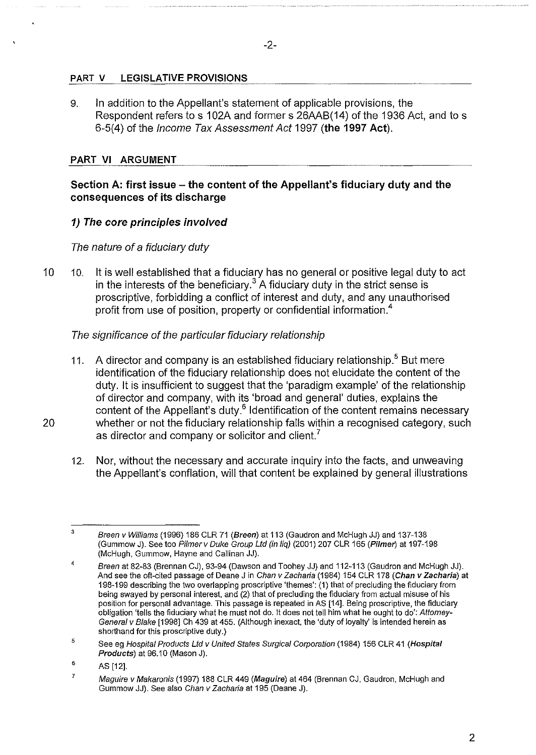## **PART V LEGISLATIVE PROVISIONS**

9. In addition to the Appellant's statement of applicable provisions, the Respondent refers to s 102A and former s 26AAB(14) of the 1936 Act, and to s 6-5(4) of the Income Tax Assessment Act 1997 **(the 1997 Act).** 

## **PART VI ARGUMENT**

## **Section A: first issue- the content of the Appellant's fiduciary duty and the consequences of its discharge**

## **1) The core principles involved**

## The nature of a fiduciary duty

10 10. It is well established that a fiduciary has no general or positive legal duty to act in the interests of the beneficiary.<sup>3</sup> A fiduciary duty in the strict sense is proscriptive, forbidding a conflict of interest and duty, and any unauthorised profit from use of position, property or confidential information.<sup>4</sup>

## The significance of the particular fiduciary relationship

- 11. A director and company is an established fiduciary relationship.<sup>5</sup> But mere identification of the fiduciary relationship does not elucidate the content of the duty. It is insufficient to suggest that the 'paradigm example' of the relationship of director and company, with its 'broad and general' duties, explains the content of the Appellant's duty. $6$  Identification of the content remains necessary 20 whether or not the fiduciary relationship falls within a recognised category, such as director and company or solicitor and client.<sup>7</sup>
	- 12. Nor, without the necessary and accurate inquiry into the facts, and unweaving the Appellant's conflation, will that content be explained by general illustrations

<sup>3</sup>  Breen v Williams (1996) 186 CLR 71 (Breen) at 113 (Gaudron and McHugh JJ) and 137-138 (Gummow J). See too Pilmerv Duke Group Ltd (in liq) (2001) 207 CLR 165 (Pi/mer) at 197-198 (McHugh, Gummow, Hayne and Callinan JJ).

<sup>4</sup>  Breen at 82-83 (Brennan CJ), 93-94 (Dawson and Toohey JJ) and 112-113 (Gaudron and McHugh JJ). And see the oft-cited passage of Deane J in Chan v Zacharia (1984) 154 CLR 178 (Chan *v* Zacharia) at 198-199 describing the two overlapping proscriptive 'themes': (1) that of precluding the fiduciary from being swayed by personal interest, and (2) that of precluding the fiduciary from actual misuse of his position for personal advantage. This passage is repeated in AS [14]. Being proscriptive, the fiduciary obligation 'tells the fiduciary what he must not do. It does not tell him what he ought to do': Attorney-General v Blake [1998] Ch 439 at 455. (Although inexact, the 'duty of loyalty' is intended herein as shorthand for this proscriptive duty.)

<sup>5</sup>  See eg Hospital Products Ltd v United States Surgical Corporation (1984) 156 CLR 41 (Hospital Products) at 96.10 (Mason J).

<sup>6</sup>  AS [12].

<sup>7</sup>  Maguire v Makaronis (1997) 188 CLR 449 (Maguire) at 464 (Brennan CJ, Gaudron, McHugh and Gummow JJ). See also Chan v Zacharia at 195 (Deane J).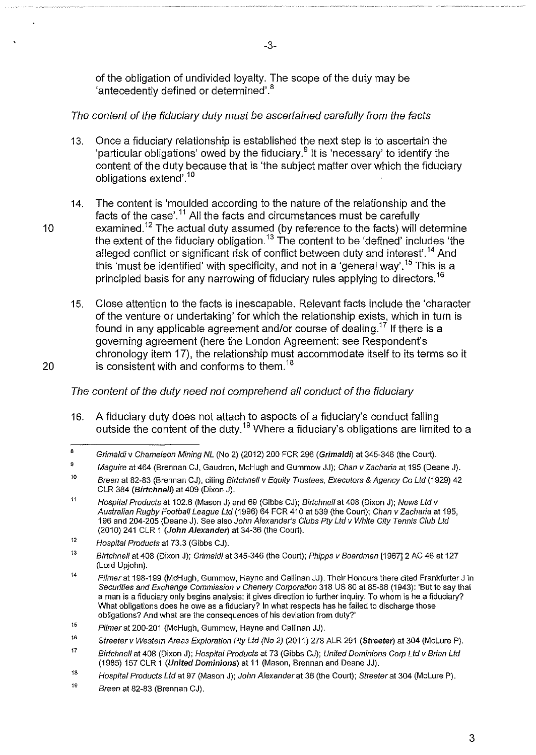of the obligation of undivided loyalty. The scope of the duty may be 'antecedently defined or determined'.<sup>8</sup>

-3-

# The content of the fiduciary duty must be ascertained carefully from the facts

- 13. Once a fiduciary relationship is established the next step is to ascertain the 'particular obligations' owed by the fiduciary.<sup>9</sup> It is 'necessary' to identify the content of the duty because that is 'the subject matter over which the fiduciary obligations extend'.<sup>10</sup>
- 14. The content is 'moulded according to the nature of the relationship and the facts of the case'.<sup>11</sup> All the facts and circumstances must be carefully 10 examined.<sup>12</sup> The actual duty assumed (by reference to the facts) will determine the extent of the fiduciary obligation.<sup>13</sup> The content to be 'defined' includes 'the alleged conflict or significant risk of conflict between duty and interest'.<sup>14</sup> And this 'must be identified' with specificity, and not in a 'general way'.<sup>15</sup> This is a principled basis for any narrowing of fiduciary rules applying to directors. <sup>16</sup>
- 15. Close attention to the facts is inescapable. Relevant facts include the 'character of the venture or undertaking' for which the relationship exists, which in turn is found in any applicable agreement and/or course of dealing.<sup>17</sup> If there is a governing agreement (here the London Agreement: see Respondent's chronology item 17), the relationship must accommodate itself to its terms so it 20 is consistent with and conforms to them.<sup>18</sup>

The content of the duty need not comprehend all conduct of the fiduciary

16. A fiduciary duty does not attach to aspects of a fiduciary's conduct falling outside the content of the duty.19 Where a fiduciary's obligations are limited to a

<sup>8</sup>  Grimaldiv Chameleon Mining NL (No 2) (2012) 200 FCR 296 (Grimaldi) at 345-346 (the Court).

<sup>9</sup>  Maguire at 464 (Brennan CJ, Gaudron, McHugh and Gummow JJ); Chan v Zacharia at 195 (Deane J).

<sup>10</sup>  Breen at 82-83 (Brennan CJ), citing Birtchnell v Equity Trustees, Executors & Agency Co Ltd (1929) 42 CLR 384 (Birtchnelf) at 409 (Dixon J).

<sup>11</sup>  Hospital Products at 102.6 (Mason J) and 69 (Gibbs CJ); Birtchnell at 408 (Dixon J); News Ltd v Australian Rugby Football League Ltd (1996) 64 FCR 410 at 539 (the Court); Chan v Zacharia at 195, 196 and 204-205 (Deane J). See also John Alexander's Clubs Pty Ltd v White City Tennis Club Ltd (2010) 241 CLR 1 (John Alexander) at 34-36 (the Court).

<sup>12</sup>  Hospital Products at 73.3 (Gibbs CJ).

<sup>13</sup>  Birtchnell at 408 (Dixon J); Grimaldi at 345-346 (the Court); Phipps v Boardman [1967] 2 AC 46 at 127 (Lord Upjohn).

<sup>14</sup>  Pilmer at 198-199 (McHugh, Gummow, Hayne and Callinan JJ). Their Honours there cited Frankfurter J in Securities and Exchange Commission v Chenery Corporation 318 US 80 at 85-86 (1943): 'But to say that a man is a fiduciary only begins analysis: it gives direction to further inquiry. To whom is he a fiduciary? What obligations does he owe as a fiduciary? In what respects has he failed to discharge those obligations? And what are the consequences of his deviation from duty?'

<sup>15</sup>  Pilmer at 200-201 (McHugh, Gummow, Hayne and Callinan JJ).

<sup>16</sup>  Streeter v Western Areas Exploration Pty Ltd (No 2) (2011) 278 ALR 291 (Streeter) at 304 (McLure P).

<sup>17</sup>  Birtchnell at 408 (Dixon J); Hospital Products at 73 (Gibbs CJ); United Dominions Corp Ltd v Brian Ltd (1985) 157 CLR 1 (United Dominions) at 11 (Mason, Brennan and Deane JJ).

<sup>18</sup>  Hospital Products Ltd at 97 (Mason J); John Alexander at 36 (the Court); Streeter at 304 (Mclure P).

<sup>19</sup>  Breen at 82-83 (Brennan CJ).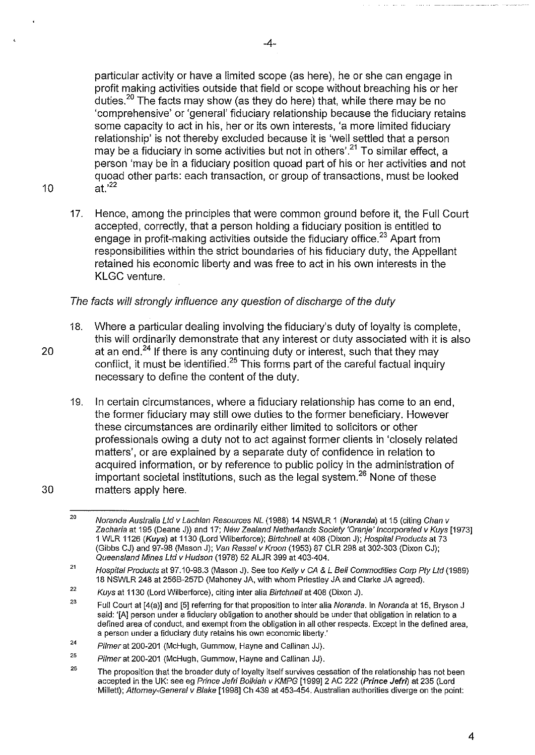particular activity or have a limited scope (as here), he or she can engage in profit making activities outside that field or scope without breaching his or her duties.20 The facts may show (as they do here) that, while there may be no 'comprehensive' or 'general' fiduciary relationship because the fiduciary retains some capacity to act in his, her or its own interests, 'a more limited fiduciary relationship' is not thereby excluded because it is 'well settled that a person may be a fiduciary in some activities but not in others'.<sup>21</sup> To similar effect, a person 'may be in a fiduciary position quoad part of his or her activities and not quoad other parts: each transaction, or group of transactions, must be looked 10 at.<sup>'22</sup>

- 
- 17. Hence, among the principles that were common ground before it, the Full Court accepted, correctly, that a person holding a fiduciary position is entitled to engage in profit-making activities outside the fiduciary office.<sup>23</sup> Apart from responsibilities within the strict boundaries of his fiduciary duty, the Appellant retained his economic liberty and was free to act in his own interests in the KLGC venture.

# The facts will strongly influence any question of discharge of the duty

- 18. Where a particular dealing involving the fiduciary's duty of loyalty is complete, this will ordinarily demonstrate that any interest or duty associated with it is also 20  $\qquad$  at an end.<sup>24</sup> If there is any continuing duty or interest, such that they may conflict, it must be identified.<sup>25</sup> This forms part of the careful factual inquiry necessary to define the content of the duty.
- 19. In certain circumstances, where a fiduciary relationship has come to an end, the former fiduciary may still owe duties to the former beneficiary. However these circumstances are ordinarily either limited to solicitors or other professionals owing a duty not to act against former clients in 'closely related matters', or are explained by a separate duty of confidence in relation to acquired information, or by reference to public policy in the administration of important societal institutions, such as the legal system.26 None of these 30 matters apply here.

<sup>20</sup>  Noranda Australia Ltd v Lachlan Resources NL (1988) 14 NSWLR 1 (Noranda) at 15 (citing Chan v Zacharia at 195 (Deane J)) and 17; New Zealand Netherlands Society 'Oranje' Incorporated v Kuys [1973] 1 WLR 1126 (Kuys) at 1130 (Lord Wilberforce); Birtchnell at 408 (Dixon J); Hospital Products at 73 (Gibbs CJ) and 97-98 (Mason J); Van Rassel v Kroon (1953) 87 CLR 298 at 302-303 (Dixon CJ); Queensland Mines Ltd v Hudson (1978) 52 ALJR 399 at 403-404.

<sup>21</sup>  Hospital Products at 97.10-98.3 (Mason J). See too Kelly v CA & L Bell Commodities Corp Pty Ltd (1989) 18 NSWLR 248 at 256B-257D (Mahoney JA, with whom Priestley JA and Clarke JA agreed).

<sup>22</sup>  Kuys at 1130 (Lord Wilberforce), citing inter alia Birtchnell at 408 (Dixon J).

<sup>23</sup>  Full Court at [4(a)] and [5] referring for that proposition to inter alia Noranda. In Noranda at 15, Bryson J said: '[A] person under a fiduciary obligation to another should be under that obligation in relation to a defined area of conduct, and exempt from the obligation in all other respects. Except in the defined area, a person under a fiduciary duty retains his own economic liberty.'

<sup>24</sup>  Pilmer at 200-201 (McHugh, Gummow, Hayne and Callinan JJ).

<sup>25</sup>  Pilmer at 200-201 (McHugh, Gummow, Hayne and Callinan JJ).

<sup>26</sup>  The proposition that the broader duty of loyalty itself survives cessation of the relationship has not been accepted in the UK: see eg Prince Jefri Bolkiah v KMPG [1999] 2 AC 222 (Prince Jefri) at 235 (Lord ·Millett); Attomey-General v Blake [1998] Ch 439 at 453-454. Australian authorities diverge on the point: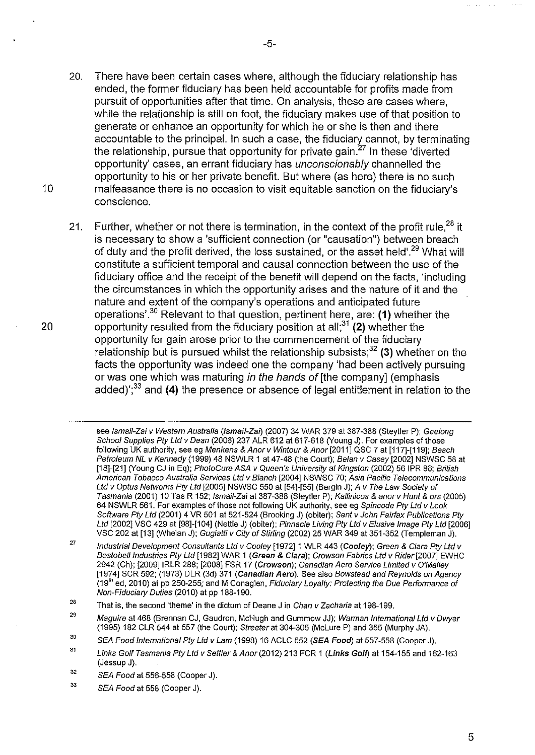- 20. There have been certain cases where, although the fiduciary relationship has ended, the former fiduciary has been held accountable for profits made from pursuit of opportunities after that time. On analysis, these are cases where, while the relationship is still on foot, the fiduciary makes use of that position to generate or enhance an opportunity for which he or she is then and there accountable to the principal. In such a case, the fiduciary cannot, by terminating the relationship, pursue that opportunity for private gain. $27$  In these 'diverted opportunity' cases, an errant fiduciary has unconscionably channelled the opportunity to his or her private benefit. But where (as here) there is no such 10 malfeasance there is no occasion to visit equitable sanction on the fiduciary's conscience.
- 21. Further, whether or not there is termination, in the context of the profit rule.<sup>28</sup> it is necessary to show a 'sufficient connection (or "causation") between breach of duty and the profit derived, the loss sustained, or the asset held'.29 What will constitute a sufficient temporal and causal connection between the use of the fiduciary office and the receipt of the benefit will depend on the facts, 'including the circumstances in which the opportunity arises and the nature of it and the nature and extent of the company's operations and anticipated future operations'.<sup>30</sup> Relevant to that question, pertinent here, are: (1) whether the 20 opportunity resulted from the fiduciary position at all;<sup>31</sup>(2) whether the opportunity for gain arose prior to the commencement of the fiduciary relationship but is pursued whilst the relationship subsists; $32$  (3) whether on the facts the opportunity was indeed one the company 'had been actively pursuing or was one which was maturing in the hands of [the company] (emphasis added)<sup>';33</sup> and (4) the presence or absence of legal entitlement in relation to the

see Ismail-Zai v Western Australia (Ismail-Zai) (2007) 34 WAR 379 at 387-388 (Steytler P); Geelong School Supplies Pty Ltd v Dean (2006) 237 ALR 612 at 617-618 (Young J). For examples of those following UK authority, see eg Menkens & Anor v Wintour & Anor [2011] QSC 7 at [117]-[119]; Beach Petroleum NL v Kennedy (1999) 48 NSWLR 1 at 47-48 (the Court); Belan v Casey [2002] NSWSC 58 at [18]-[21] (Young CJ in Eq); PhotoCure ASA v Queen's University at Kingston (2002) 56 IPR 86; British American Tobacco Australia Services Ltd v Blanch [2004] NSWSC 70; Asia Pacific Telecommunications Ltd v Optus Networks Ply Ltd [2005] NSWSC 550 at [54]-[55] (Bergin J); A v The Law Society of Tasmania (2001) 10 Tas R 152; lsmaii-Zai at387-388 (Steytler P); Kallinicos & anorv Hunt & ors (2005) 64 NSWLR 561. For examples of those not following UK authority, see eg Spincode Pty Ltd v Look Software Pty Ltd (2001) 4 VR 501 at 521-524 (Brooking J) (obiter); Sent v John Fairfax Publications Pty Ltd [2002] VSC 429 at [98]-[104] (Nettle J) (obiter); Pinnacle Living Pty Ltd v Elusive Image Pty Ltd [2006] VSC 202 at [13] (Whelan J); Gugiatti v City of Stirling (2002) 25 WAR 349 at 351-352 (Templeman J).

<sup>27</sup>  Industrial Development Consultants Ltd v Cooley [1972] 1 WLR 443 (Cooley); Green & Clara Pty Ltd v Bestobell Industries Pty Ltd [1982] WAR 1 (Green & Clara); Crowson Fabrics Ltd v Rider [2007] EWHC 2942 (Ch); [2009] IRLR 288; [2008] FSR 17 (Crowson); Canadian Aero Service Limited v O'Malley [1974] SCR 592; (1973) DLR (3d) 371 (Canadian Aero). See also Bowstead and Reynolds on Agency  $(19<sup>th</sup>$  ed, 2010) at pp 250-255; and M Conaglen, Fiduciary Loyalty: Protecting the Due Performance of Non-Fiduciary Duties (2010) at pp 188-190.

<sup>28</sup>  That is, the second 'theme' in the dictum of Deane J in Chan v Zacharia at 198-199.

<sup>29</sup>  Maguire at 468 (Brennan CJ, Gaudron, McHugh and Gummow JJ); Warman International Ltd v Dwyer (1995) 182 CLR 544 at 557 (the Court); Streeter at 304-305 (McLure P) and 355 (Murphy JA).

<sup>30</sup>  SEA Food International Pty Ltd v Lam (1998) 16 ACLC 552 (SEA Food) at 557-558 (Cooper J).

<sup>31</sup>  Links Golf Tasmania Pty Ltd v Settler & Anor (2012) 213 FCR 1 (Links Golf) at 154-155 and 162-163 (Jessup J).

<sup>32</sup>  SEA Food at 556-558 (Cooper J).

<sup>33</sup>  SEA Food at 558 (Cooper J).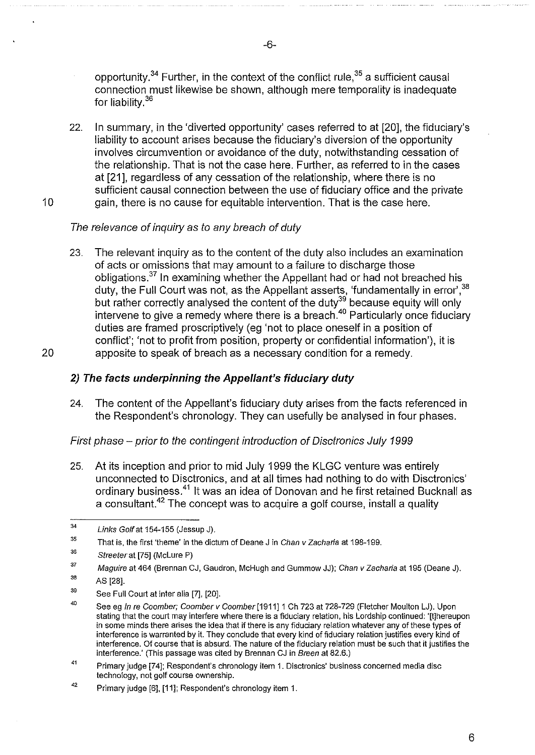opportunity.<sup>34</sup> Further, in the context of the conflict rule.<sup>35</sup> a sufficient causal connection must likewise be shown, although mere temporality is inadequate for liability.<sup>36</sup>

22. In summary, in the 'diverted opportunity' cases referred to at [20], the fiduciary's liability to account arises because the fiduciary's diversion of the opportunity involves circumvention or avoidance of the duty, notwithstanding cessation of the relationship. That is not the case here. Further, as referred to in the cases at [21], regardless of any cessation of the relationship, where there is no sufficient causal connection between the use of fiduciary office and the private 10 gain, there is no cause for equitable intervention. That is the case here.

## The relevance of inquiry as to any breach of duty

23. The relevant inquiry as to the content of the duty also includes an examination of acts or omissions that may amount to a failure to discharge those obligations.37 In examining whether the Appellant had or had not breached his duty, the Full Court was not, as the Appellant asserts, 'fundamentally in error', $^{\rm 38}$ but rather correctly analysed the content of the duty<sup>39</sup> because equity will only intervene to give a remedy where there is a breach.<sup>40</sup> Particularly once fiduciary duties are framed proscriptively (eg 'not to place oneself in a position of conflict'; 'not to profit from position, property or confidential information'), it is 20 apposite to speak of breach as a necessary condition for a remedy.

# **2) The facts underpinning the Appellant's fiduciary duty**

24. The content of the Appellant's fiduciary duty arises from the facts referenced in the Respondent's chronology. They can usefully be analysed in four phases.

First phase- prior to the contingent introduction of Oisctronics July 1999

25. At its inception and prior to mid July 1999 the KLGC venture was entirely unconnected to Disctronics, and at all times had nothing to do with Disctronics' ordinary business.41 It was an idea of Donovan and he first retained Bucknall as a consultant.42 The concept was to acquire a golf course, install a quality

<sup>34</sup>  Links Golf at 154-155 (Jessup J).

<sup>35</sup>  That is, the first 'theme' in the dictum of Deane J in Chan v Zacharia at 198-199.

<sup>36</sup>  Streeter at [75] (McLure P)

<sup>37</sup>  36 Maguire at 464 (Brennan CJ, Gaudron, McHugh and Gummow JJ); Chan v Zacharia at 195 (Deane J).

AS [28].

<sup>39</sup>  See Full Court at inter alia [7], [20].

<sup>40</sup>  See eg In re Coomber; Coomber v Coomber [1911] 1 Ch 723 at 728-729 (Fletcher Moulton LJ). Upon stating that the court may interfere where there is a fiduciary relation, his Lordship continued: '[!]hereupon in some minds there arises the idea that if there is any fiduciary relation whatever any of these types of interference is warranted by it. They conclude that every kind of fiduciary relation justifies every kind of interference. Of course that is absurd. The nature of the fiduciary relation must be such that it justifies the interference.' (This passage was cited by Brennan CJ in Breen at 82.6.)

<sup>41</sup>  Primary judge [74]; Respondent's chronology item 1. Disctronics' business concerned media disc technology, not golf course ownership.

<sup>42</sup>  Primary judge [6], [11]; Respondent's chronology item 1.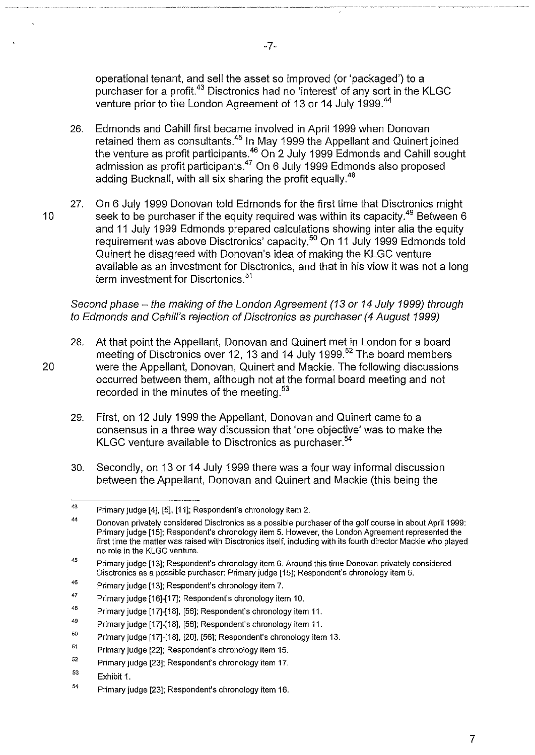operational tenant, and sell the asset so improved (or 'packaged') to a purchaser for a profit.<sup>43</sup> Disctronics had no 'interest' of any sort in the KLGC venture prior to the London Agreement of 13 or 14 July 1999.<sup>44</sup>

- 26. Edmonds and Cahill first became involved in April 1999 when Donovan retained them as consultants.<sup>45</sup> In May 1999 the Appellant and Quinert joined the venture as profit participants. $^{46}$  On 2 July 1999 Edmonds and Cahill sought admission as profit participants.<sup>47</sup> On 6 July 1999 Edmonds also proposed adding Bucknall, with all six sharing the profit equally.<sup>48</sup>
- 27. On 6 July 1999 Donovan told Edmonds for the first time that Disctronics might 10 seek to be purchaser if the equity required was within its capacity.<sup>49</sup> Between 6 and 11 July 1999 Edmonds prepared calculations showing inter alia the equity requirement was above Disctronics' capacity. 5° On 11 July 1999 Edmonds told Quinert he disagreed with Donovan's idea of making the KLGC venture available as an investment for Disctronics, and that in his view it was not a long term investment for Discrtonics.<sup>51</sup>

Second phase - the making of the London Agreement (13 or 14 July 1999) through to Edmonds and Cahill's rejection of Disctronics as purchaser (4 August 1999)

- 28. At that point the Appellant, Donovan and Quinert met in London for a board meeting of Disctronics over 12, 13 and 14 July 1999.<sup>52</sup> The board members 20 were the Appellant, Donovan, Quinert and Mackie. The following discussions occurred between them, although not at the formal board meeting and not recorded in the minutes of the meeting.<sup>53</sup>
	- 29. First, on 12 July 1999 the Appellant, Donovan and Quinert came to a consensus in a three way discussion that 'one objective' was to make the KLGC venture available to Disctronics as purchaser.<sup>54</sup>
	- 30. Secondly, on 13 or 14 July 1999 there was a four way informal discussion between the Appellant, Donovan and Quinert and Mackie (this being the

<sup>43</sup>  Primary judge [4], [5], [11]; Respondent's chronology item 2.

<sup>44</sup>  Donovan privately considered Disctronics as a possible purchaser of the golf course in about April 1999: Primary judge [15]; Respondent's chronology item 5. However, the London Agreement represented the first time the matter was raised with Disctronics itself, including with its fourth director Mackie who played no role in the KLGC venture.

<sup>45</sup>  Primary judge [13]; Respondent's chronology item 6. Around this time Donovan privately considered Disctronics as a possible purchaser: Primary judge [15]; Respondent's chronology item 5.

<sup>46</sup>  Primary judge [13]; Respondent's chronology item 7.

<sup>47</sup>  Primary judge [16]-[17]; Respondent's chronology item 10.

<sup>48</sup>  Primary judge [17]-[18], [56]; Respondent's chronology item 11.

<sup>49</sup>  Primary judge [17]-[18], [56]; Respondent's chronology item 11.

<sup>50</sup>  Primary judge [17]-[18], [20], [56]; Respondent's chronology item 13.

<sup>51</sup>  Primary judge [22]; Respondent's chronology item 15.

<sup>52</sup>  Primary judge [23]; Respondent's chronology item 17.

<sup>53</sup>  Exhibit 1.

<sup>54</sup>  Primary judge [23]; Respondent's chronology item 16.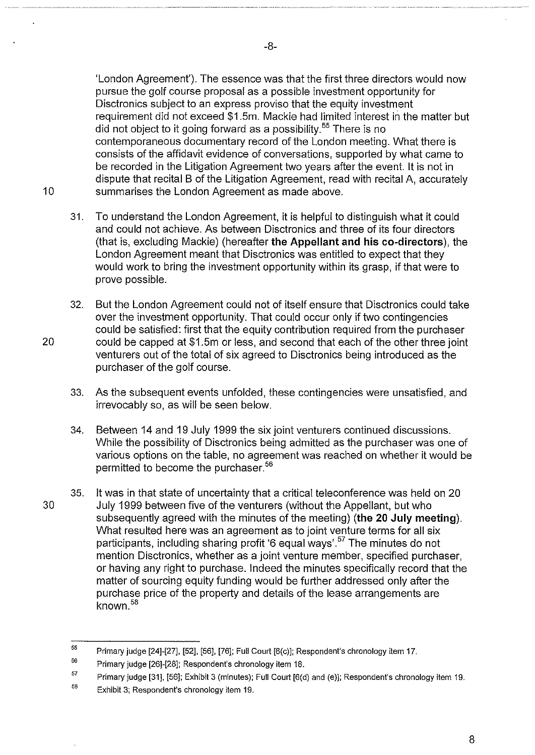'London Agreement'). The essence was that the first three directors would now pursue the golf course proposal as a possible investment opportunity for Disctronics subject to an express proviso that the equity investment requirement did not exceed \$1.5m. Mackie had limited interest in the matter but did not object to it going forward as a possibility.<sup>55</sup> There is no contemporaneous documentary record of the London meeting. What there is consists of the affidavit evidence of conversations, supported by what came to be recorded in the Litigation Agreement two years after the event. It is not in dispute that recital B of the Litigation Agreement, read with recital A, accurately 10 summarises the London Agreement as made above.

- 31. To understand the London Agreement, it is helpful to distinguish what it could and could not achieve. As between Disctronics and three of its four directors (that is, excluding Mackie) (hereafter **the Appellant and his co-directors),** the London Agreement meant that Disctronics was entitled to expect that they would work to bring the investment opportunity within its grasp, if that were to prove possible.
- 32. But the London Agreement could not of itself ensure that Disctronics could take over the investment opportunity. That could occur only if two contingencies could be satisfied: first that the equity contribution required from the purchaser 20 could be capped at \$1.5m or less, and second that each of the other three joint venturers out of the total of six agreed to Disctronics being introduced as the purchaser of the golf course.
	- 33. As the subsequent events unfolded, these contingencies were unsatisfied, and irrevocably so, as will be seen below.
	- 34. Between 14 and 19 July 1999 the six joint venturers continued discussions. While the possibility of Disctronics being admitted as the purchaser was one of various options on the table, no agreement was reached on whether it would be permitted to become the purchaser.<sup>56</sup>
- 35. It was in that state of uncertainty that a critical teleconference was held on 20 30 July 1999 between five of the venturers (without the Appellant, but who subsequently agreed with the minutes of the meeting) **(the 20 July meeting).**  What resulted here was an agreement as to joint venture terms for all six participants, including sharing profit '6 equal ways'.<sup>57</sup> The minutes do not mention Disctronics, whether as a joint venture member, specified purchaser, or having any right to purchase. Indeed the minutes specifically record that the matter of sourcing equity funding would be further addressed only after the purchase price of the property and details of the lease arrangements are known. <sup>58</sup>

57 Primary judge [31], [56]; Exhibit 3 (minutes); Full Court [6(d) and (e)]; Respondent's chronology item 19.

<sup>55</sup>  Primary judge [24]-[27], [52], [56], [76]; Full Court [6(c)]; Respondent's chronology item 17.

<sup>56</sup>  Primary judge [26]-[28]; Respondent's chronology item 18.

<sup>58</sup>  Exhibit 3; Respondent's chronology item 19.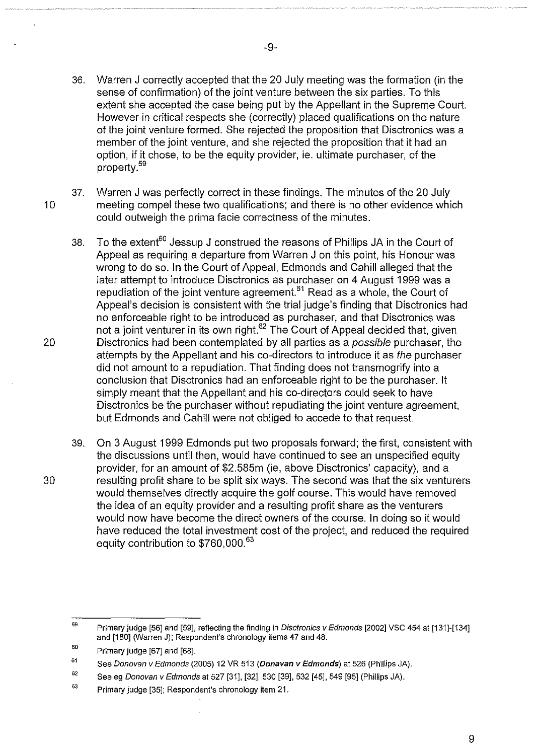- 36. Warren J correctly accepted that the 20 July meeting was the formation (in the sense of confirmation) of the joint venture between the six parties. To this extent she accepted the case being put by the Appellant in the Supreme Court. However in critical respects she (correctly) placed qualifications on the nature of the joint venture formed. She rejected the proposition that Disctronics was a member of the joint venture, and she rejected the proposition that it had an option, if it chose, to be the equity provider, ie. ultimate purchaser, of the property.<sup>59</sup>
- 37. Warren J was perfectly correct in these findings. The minutes of the 20 July 10 meeting compel these two qualifications; and there is no other evidence which could outweigh the prima facie correctness of the minutes.
- 38. To the extent<sup>60</sup> Jessup J construed the reasons of Phillips JA in the Court of Appeal as requiring a departure from Warren J on this point, his Honour was wrong to do so. In the Court of Appeal, Edmonds and Cahill alleged that the later attempt to introduce Disctronics as purchaser on 4 August 1999 was a repudiation of the joint venture agreement.<sup>61</sup> Read as a whole, the Court of Appeal's decision is consistent with the trial judge's finding that Disctronics had no enforceable right to be introduced as purchaser, and that Disctronics was not a joint venturer in its own right.<sup>62</sup> The Court of Appeal decided that, given 20 Disctronics had been contemplated by all parties as a possible purchaser, the attempts by the Appellant and his co-directors to introduce it as the purchaser did not amount to a repudiation. That finding does not transmogrify into a conclusion that Disctronics had an enforceable right to be the purchaser. It simply meant that the Appellant and his co-directors could seek to have Disctronics be the purchaser without repudiating the joint venture agreement, but Edmonds and Cahill were not obliged to accede to that request.
- 39. On 3 August 1999 Edmonds put two proposals forward; the first, consistent with the discussions until then, would have continued to see an unspecified equity provider, for an amount of \$2.585m (ie, above Disctronics' capacity), and a 30 resulting profit share to be split six ways. The second was that the six venturers would themselves directly acquire the golf course. This would have removed the idea of an equity provider and a resulting profit share as the venturers would now have become the direct owners of the course. In doing so it would have reduced the total investment cost of the project, and reduced the required equity contribution to \$760,000.<sup>63</sup>

<sup>59</sup>  Primary judge [56] and [59], reflecting the finding in Disctronics v Edmonds [2002] VSC 454 at [131]-[134] and [180] (Warren J); Respondent's chronology items 47 and 48.

<sup>60</sup>  Primary judge [67] and [68].

<sup>61</sup>  See Donovan v Edmonds (2005) 12 VR 513 (Donavan v Edmonds) at 526 (Phillips JA).

<sup>62</sup>  See eg Donovan v Edmonds at 527 [31], [32], 530 [39], 532 [45], 549 [95] (Phillips JA).

<sup>63</sup>  Primary judge [35]; Respondent's chronology item 21.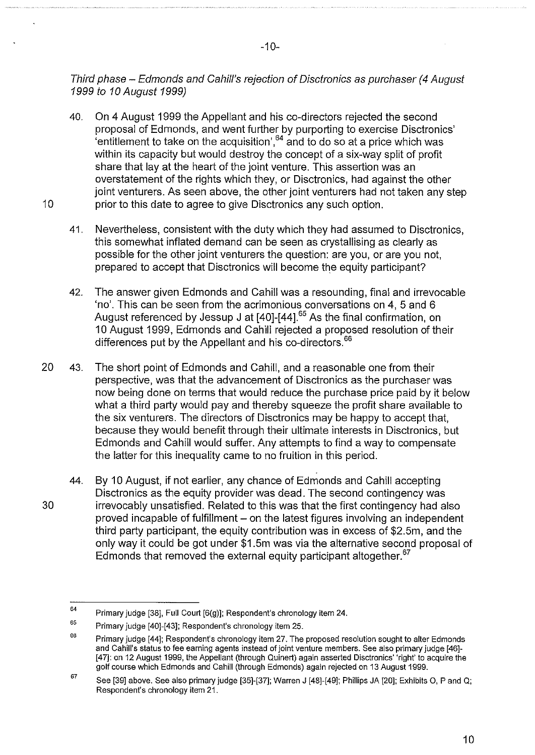Third phase- Edmonds and Cahill's rejection of Disctronics as purchaser (4 August 1999 to 10 August 1999)

- 40. On 4 August 1999 the Appellant and his co-directors rejected the second proposal of Edmonds, and went further by purporting to exercise Disctronics' 'entitlement to take on the acquisition',  $64$  and to do so at a price which was within its capacity but would destroy the concept of a six-way split of profit share that lay at the heart of the joint venture. This assertion was an overstatement of the rights which they, or Disctronics, had against the other joint venturers. As seen above, the other joint venturers had not taken any step 10 **prior to this date to agree to give Disctronics any such option.** 
	- 41. Nevertheless, consistent with the duty which they had assumed to Disctronics, this somewhat inflated demand can be seen as crystallising as clearly as possible for the other joint venturers the question: are you, or are you not, prepared to accept that Disctronics will become the equity participant?
	- 42. The answer given Edmonds and Cahill was a resounding, final and irrevocable 'no'. This can be seen from the acrimonious conversations on 4, 5 and 6 August referenced by Jessup J at [40]-[44].<sup>65</sup> As the final confirmation, on 10 August 1999, Edmonds and Cahill rejected a proposed resolution of their differences put by the Appellant and his co-directors.<sup>66</sup>
- 20 43. The short point of Edmonds and Cahill, and a reasonable one from their perspective, was that the advancement of Disctronics as the purchaser was now being done on terms that would reduce the purchase price paid by it below what a third party would pay and thereby squeeze the profit share available to the six venturers. The directors of Disctronics may be happy to accept that, because they would benefit through their ultimate interests in Disctronics, but Edmonds and Cahill would suffer. Any attempts to find a way to compensate the latter for this inequality came to no fruition in this period.
- 44. By 10 August, if not earlier, any chance of Edmonds and Cahill accepting Disctronics as the equity provider was dead. The second contingency was 30 irrevocably unsatisfied. Related to this was that the first contingency had also proved incapable of fulfillment – on the latest figures involving an independent third party participant, the equity contribution was in excess of \$2.5m, and the only way it could be got under \$1.5m was via the alternative second proposal of Edmonds that removed the external equity participant altogether. $67$

<sup>64</sup>  Primary judge [38], Full Court [6(g)]; Respondent's chronology item 24.

<sup>65</sup>  Primary judge [40]-[43]; Respondent's chronology item 25.

<sup>66</sup>  Primary judge [44]; Respondent's chronology item 27. The proposed resolution sought to alter Edmonds and Cahill's status to fee earning agents instead of joint venture members. See also primary judge [46]- [47]: on 12 August 1999, the Appellant (through Quinert) again asserted Disctronics' 'right' to acquire the golf course which Edmonds and Cahill (through Edmonds) again rejected on 13 August 1999.

<sup>67</sup>  See [39] above. See also primary judge [35]-[37]; Warren J [48]-[49]; Phillips JA [20]; Exhibits 0, P and Q; Respondent's chronology item 21.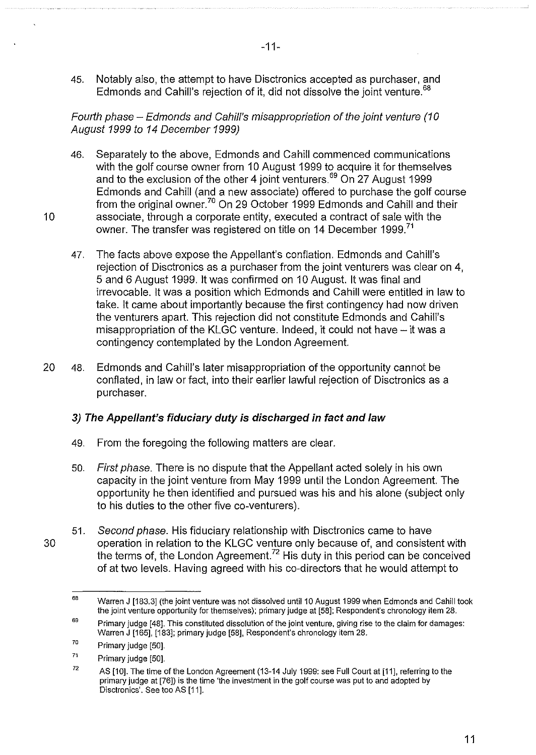45. Notably also, the attempt to have Disctronics accepted as purchaser, and Edmonds and Cahill's rejection of it, did not dissolve the joint venture.<sup>68</sup>

Fourth phase – Edmonds and Cahill's misappropriation of the joint venture (10 August 1999 to 14 December 1999)

- 46. Separately to the above, Edmonds and Cahill commenced communications with the golf course owner from 10 August 1999 to acquire it for themselves and to the exclusion of the other 4 joint venturers.<sup>69</sup> On 27 August 1999 Edmonds and Cahill (and a new associate) offered to purchase the golf course from the original owner.<sup>70</sup> On 29 October 1999 Edmonds and Cahill and their 10 associate, through a corporate entity, executed a contract of sale with the owner. The transfer was registered on title on 14 December 1999.<sup>71</sup>
	- 47. The facts above expose the Appellant's conflation. Edmonds and Cahill's rejection of Disctronics as a purchaser from the joint venturers was clear on 4, 5 and 6 August 1999. It was confirmed on 10 August. It was final and irrevocable. It was a position which Edmonds and Cahill were entitled in law to take. It came about importantly because the first contingency had now driven the venturers apart. This rejection did not constitute Edmonds and Cahill's misappropriation of the KLGC venture. Indeed, it could not have- it was a contingency contemplated by the London Agreement.
- 20 48. Edmonds and Cahill's later misappropriation of the opportunity cannot be conflated, in law or fact, into their earlier lawful rejection of Disctronics as a purchaser.

## **3) The Appellant's fiduciary duty is discharged in fact and law**

- 49. From the foregoing the following matters are clear.
- 50. First phase. There is no dispute that the Appellant acted solely in his own capacity in the joint venture from May 1999 until the London Agreement. The opportunity he then identified and pursued was his and his alone (subject only to his duties to the other five co-venturers).
- 51. Second phase. His fiduciary relationship with Disctronics came to have 30 operation in relation to the KLGC venture only because of, and consistent with the terms of, the London Agreement.<sup>72</sup> His duty in this period can be conceived of at two levels. Having agreed with his co-directors that he would attempt to

<sup>68</sup>  Warren J [183.3] (the joint venture was not dissolved until 10 August 1999 when Edmonds and Cahill took the joint venture opportunity for themselves); primary judge at [58]; Respondent's chronology item 28.

<sup>69</sup>  Primary judge [48]. This constituted dissolution of the joint venture, giving rise to the claim for damages: Warren J [165], [183]; primary judge [58], Respondent's chronology item 28.

<sup>70</sup>  Primary judge [50].

<sup>71</sup>  Primary judge [50].

<sup>72</sup>  AS [10]. The time of the London Agreement (13-14 July 1999: see Full Court at [11], referring to the primary judge at [76]) is the time 'the investment in the golf course was put to and adopted by Disctronics'. See too AS [11].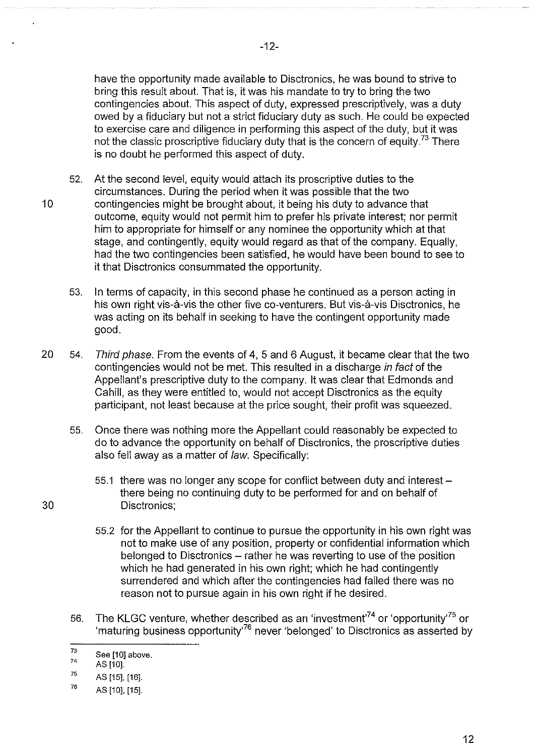-12-

have the opportunity made available to Disctronics, he was bound to strive to bring this result about. That is, it was his mandate to try to bring the two contingencies about. This aspect of duty, expressed prescriptively, was a duty owed by a fiduciary but not a strict fiduciary duty as such. He could be expected to exercise care and diligence in performing this aspect of the duty, but it was not the classic proscriptive fiduciary duty that is the concern of equity.<sup>73</sup> There is no doubt he performed this aspect of duty.

- 52. At the second level, equity would attach its proscriptive duties to the circumstances. During the period when it was possible that the two 10 contingencies might be brought about, it being his duty to advance that outcome, equity would not permit him to prefer his private interest; nor permit him to appropriate for himself or any nominee the opportunity which at that stage, and contingently, equity would regard as that of the company. Equally, had the two contingencies been satisfied, he would have been bound to see to it that Disctronics consummated the opportunity.
	- 53. In terms of capacity, in this second phase he continued as a person acting in his own right vis-à-vis the other five co-venturers. But vis-à-vis Disctronics, he was acting on its behalf in seeking to have the contingent opportunity made good.
- 20 54. Third phase. From the events of 4, 5 and 6 August, it became clear that the two contingencies would not be met. This resulted in a discharge in fact of the Appellant's prescriptive duty to the company. It was clear that Edmonds and Cahill, as they were entitled to, would not accept Disctronics as the equity participant, not least because at the price sought, their profit was squeezed.
	- 55. Once there was nothing more the Appellant could reasonably be expected to do to advance the opportunity on behalf of Disctronics, the proscriptive duties also fell away as a matter of law. Specifically:
- 55.1 there was no longer any scope for conflict between duty and interestthere being no continuing duty to be performed for and on behalf of 30 Disctronics;
	- 55.2 for the Appellant to continue to pursue the opportunity in his own right was not to make use of any position, property or confidential information which belonged to Disctronics- rather he was reverting to use of the position which he had generated in his own right; which he had contingently surrendered and which after the contingencies had failed there was no reason not to pursue again in his own right if he desired.
	- 56. The KLGC venture, whether described as an 'investment'<sup>74</sup> or 'opportunity'<sup>75</sup> or 'maturing business opportunity'76 never 'belonged' to Disctronics as asserted by

<sup>73</sup>  See [10] above.

<sup>74</sup>  AS [10].

<sup>75</sup>  AS [15], [16].

<sup>76</sup>  AS [10], [15].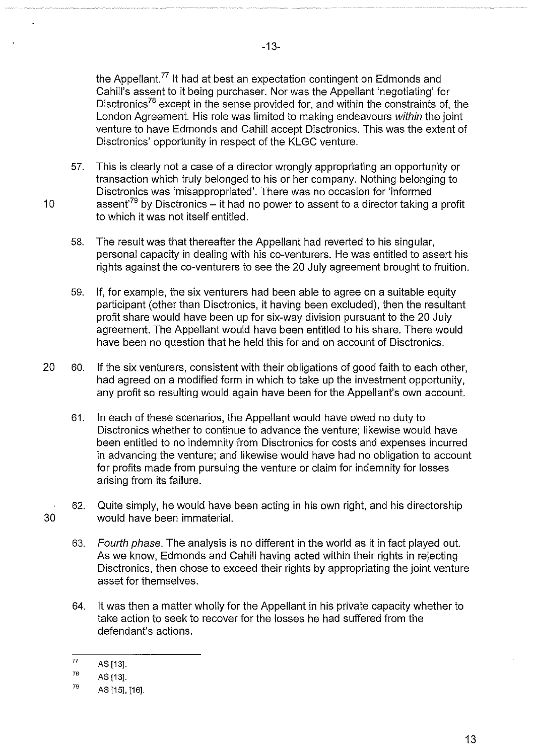the Appellant.<sup>77</sup> It had at best an expectation contingent on Edmonds and Cahill's assent to it being purchaser. Nor was the Appellant 'negotiating' for Disctronics<sup>78</sup> except in the sense provided for, and within the constraints of, the London Agreement. His role was limited to making endeavours within the joint venture to have Edmonds and Cahill accept Disctronics. This was the extent of Disctronics' opportunity in respect of the KLGC venture.

- 57. This is clearly not a case of a director wrongly appropriating an opportunity or transaction which truly belonged to his or her company. Nothing belonging to Disctronics was 'misappropriated'. There was no occasion for 'informed 10 assent<sup>79</sup> by Disctronics – it had no power to assent to a director taking a profit to which it was not itself entitled.
	- 58. The result was that thereafter the Appellant had reverted to his singular, personal capacity in dealing with his co-venturers. He was entitled to assert his rights against the co-venturers to see the 20 July agreement brought to fruition.
	- 59. If, for example, the six venturers had been able to agree on a suitable equity participant (other than Disctronics, it having been excluded), then the resultant profit share would have been up for six-way division pursuant to the 20 July agreement. The Appellant would have been entitled to his share. There would have been no question that he held this for and on account of Disctronics.
- 20 60. If the six venturers, consistent with their obligations of good faith to each other, had agreed on a modified form in which to take up the investment opportunity, any profit so resulting would again have been for the Appellant's own account.
	- 61. In each of these scenarios, the Appellant would have owed no duty to Disctronics whether to continue to advance the venture; likewise would have been entitled to no indemnity from Disctronics for costs and expenses incurred in advancing the venture; and likewise would have had no obligation to account for profits made from pursuing the venture or claim for indemnity for losses arising from its failure.
- 62. Quite simply, he would have been acting in his own right, and his directorship 30 would have been immaterial.
	- 63. Fourth phase. The analysis is no different in the world as it in fact played out. As we know, Edmonds and Cahill having acted within their rights in rejecting Disctronics, then chose to exceed their rights by appropriating the joint venture asset for themselves.
	- 64. It was then a matter wholly for the Appellant in his private capacity whether to take action to seek to recover for the losses he had suffered from the defendant's actions.

<sup>77</sup>  AS [13].

<sup>78</sup>  AS [13].

<sup>79</sup>  AS [15], [16].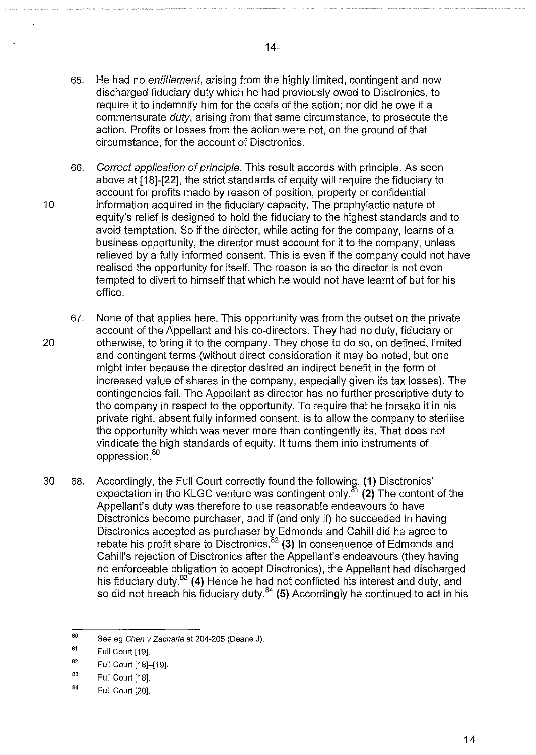- 65. He had no entitlement, arising from the highly limited, contingent and now discharged fiduciary duty which he had previously owed to Disctronics, to require it to indemnify him for the costs of the action; nor did he owe it a commensurate duty, arising from that same circumstance, to prosecute the action. Profits or losses from the action were not, on the ground of that circumstance, for the account of Disctronics.
- 66. Correct application of principle. This result accords with principle. As seen above at [18]-[22], the strict standards of equity will require the fiduciary to account for profits made by reason of position, property or confidential 10 information acquired in the fiduciary capacity. The prophylactic nature of equity's relief is designed to hold the fiduciary to the highest standards and to avoid temptation. So if the director, while acting for the company, learns of a business opportunity, the director must account for it to the company, unless relieved by a fully informed consent. This is even if the company could not have realised the opportunity for itself. The reason is so the director is not even tempted to divert to himself that which he would not have learnt of but for his office.
- 67. None of that applies here. This opportunity was from the outset on the private account of the Appellant and his co-directors. They had no duty, fiduciary or 20 otherwise, to bring it to the company. They chose to do so, on defined, limited and contingent terms (without direct consideration it may be noted, but one might infer because the director desired an indirect benefit in the form of increased value of shares in the company, especially given its tax losses). The contingencies fail. The Appellant as director has no further prescriptive duty to the company in respect to the opportunity. To require that he forsake it in his private right, absent fully informed consent, is to allow the company to sterilise the opportunity which was never more than contingently its. That does not vindicate the high standards of equity. It turns them into instruments of oppression.<sup>80</sup>
- 30 68. Accordingly, the Full Court correctly found the following. (1) Disctronics' expectation in the KLGC venture was contingent only. $81$  (2) The content of the Appellant's duty was therefore to use reasonable endeavours to have Disctronics become purchaser, and if (and only if) he succeeded in having Disctronics accepted as purchaser by Edmonds and Cahill did he agree to rebate his profit share to Disctronics.<sup>82</sup> (3) In consequence of Edmonds and Cahill's rejection of Disctronics after the Appellant's endeavours (they having no enforceable obligation to accept Disctronics), the Appellant had discharged his fiduciary duty.<sup>83</sup> (4) Hence he had not conflicted his interest and duty, and so did not breach his fiduciary duty. $84$  (5) Accordingly he continued to act in his

<sup>80</sup>  See eg Chan v Zacharia at 204-205 (Deane J).

<sup>81</sup>  Full Court [19].

<sup>82</sup>  Full Court [18]-[19].

<sup>83</sup>  Full Court [18].

<sup>84</sup>  Full Court [20].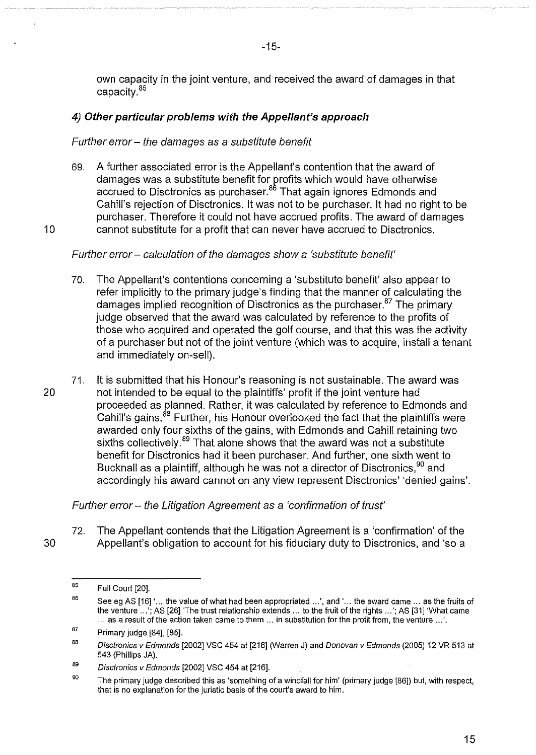own capacity in the joint venture, and received the award of damages in that capacity. <sup>85</sup>

## **4) Other particular problems with the Appellant's approach**

## Further error- the damages as a substitute benefit

69. A further associated error is the Appellant's contention that the award of damages was a substitute benefit for profits which would have otherwise accrued to Disctronics as purchaser.<sup>86</sup> That again ignores Edmonds and Cahill's rejection of Disctronics. It was not to be purchaser. It had no right to be purchaser. Therefore it could not have accrued profits. The award of damages 10 cannot substitute for a profit that can never have accrued to Disctronics.

Further error- calculation of the damages show a 'substitute benefit'

- 70. The Appellant's contentions concerning a 'substitute benefit' also appear to refer implicitly to the primary judge's finding that the manner of calculating the damages implied recognition of Disctronics as the purchaser.<sup>87</sup> The primary judge observed that the award was calculated by reference to the profits of those who acquired and operated the golf course, and that this was the activity of a purchaser but not of the joint venture (which was to acquire, install a tenant and immediately on-sell).
- 71. It is submitted that his Honour's reasoning is not sustainable. The award was 20 not intended to be equal to the plaintiffs' profit if the joint venture had proceeded as planned. Rather, it was calculated by reference to Edmonds and Cahill's gains.<sup>88</sup> Further, his Honour overlooked the fact that the plaintiffs were awarded only four sixths of the gains, with Edmonds and Cahill retaining two sixths collectively.<sup>89</sup> That alone shows that the award was not a substitute benefit for Disctronics had it been purchaser. And further, one sixth went to Bucknall as a plaintiff, although he was not a director of Disctronics,  $90$  and accordingly his award cannot on any view represent Disctronics' 'denied gains'.

Further error - the Litigation Agreement as a 'confirmation of trust'

72. The Appellant contends that the Litigation Agreement is a 'confirmation' of the 30 Appellant's obligation to account for his fiduciary duty to Disctronics, and 'so a

<sup>85</sup>  Full Court [20].

<sup>86</sup>  See eg AS [16] '... the value of what had been appropriated ...', and '... the award came ... as the fruits of the venture .. .'; AS [26] 'The trust relationship extends ... to the fruit of the rights .. .'; AS (31] 'What came ... as a result of the action taken came to them ... in substitution for the profit from, the venture .. .'.

<sup>87</sup>  Primary judge (84], [85].

<sup>88</sup>  Disctronics v Edmonds (2002] VSC 454 at [216] (Warren J) and Donovan v Edmonds (2005) 12 VR 513 at 543 (Phillips JA).

<sup>89</sup>  Disctronics v Edmonds [2002] VSC 454 at [216].

<sup>90</sup>  The primary judge described this as 'something of a windfall for him' (primary judge (86]) but, with respect, that is no explanation for the juristic basis of the court's award to him.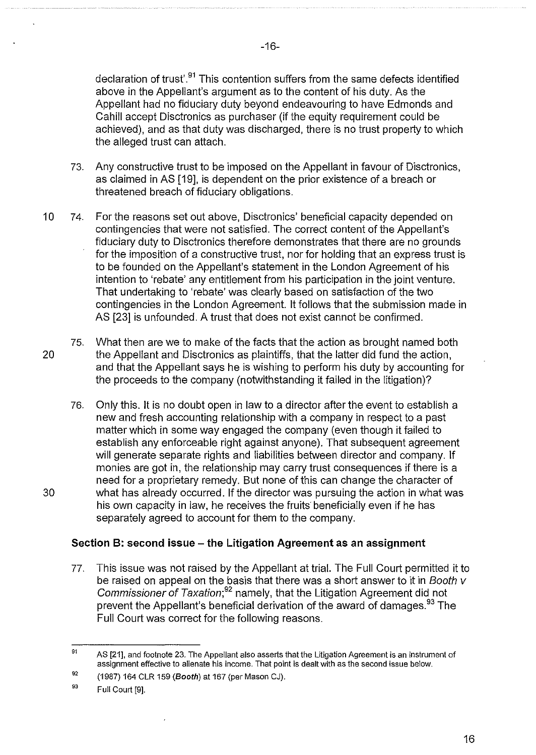declaration of trust'.<sup>91</sup> This contention suffers from the same defects identified above in the Appellant's argument as to the content of his duty. As the Appellant had no fiduciary duty beyond endeavouring to have Edmonds and Cahill accept Disctronics as purchaser (if the equity requirement could be achieved), and as that duty was discharged, there is no trust property to which the alleged trust can attach.

- 73. Any constructive trust to be imposed on the Appellant in favour of Disctronics, as claimed in AS [19], is dependent on the prior existence of a breach or threatened breach of fiduciary obligations.
- 10 74. For the reasons set out above, Disctronics' beneficial capacity depended on contingencies that were not satisfied. The correct content of the Appellant's fiduciary duty to Disctronics therefore demonstrates that there are no grounds for the imposition of a constructive trust, nor for holding that an express trust is to be founded on the Appellant's statement in the London Agreement of his intention to 'rebate' any entitlement from his participation in the joint venture. That undertaking to 'rebate' was clearly based on satisfaction of the two contingencies in the London Agreement. It follows that the submission made in AS [23] is unfounded. A trust that does not exist cannot be confirmed.

75. What then are we to make of the facts that the action as brought named both 20 the Appellant and Disctronics as plaintiffs, that the latter did fund the action, and that the Appellant says he is wishing to perform his duty by accounting for the proceeds to the company (notwithstanding it failed in the litigation)?

76. Only this. It is no doubt open in law to a director after the event to establish a new and fresh accounting relationship with a company in respect to a past matter which in some way engaged the company (even though it failed to establish any enforceable right against anyone). That subsequent agreement will generate separate rights and liabilities between director and company. If monies are got in, the relationship may carry trust consequences if there is a need for a proprietary remedy. But none of this can change the character of 30 what has already occurred. If the director was pursuing the action in what was his own capacity in law, he receives the fruits beneficially even if he has separately agreed to account for them to the company.

## **Section B: second issue- the Litigation Agreement as an assignment**

77. This issue was not raised by the Appellant at trial. The Full Court permitted it to be raised on appeal on the basis that there was a short answer to it in Booth v Commissioner of Taxation;<sup>92</sup> namely, that the Litigation Agreement did not prevent the Appellant's beneficial derivation of the award of damages.<sup>93</sup> The Full Court was correct for the following reasons.

-16-

<sup>91</sup>  AS [21], and footnote 23. The Appellant also asserts that the Litigation Agreement is an instrument of assignment effective to alienate his income. That point is dealt with as the second issue below.

<sup>92</sup>  (1987) 164 CLR 159 (Booth) at 167 (per Mason CJ).

<sup>93</sup>  Full Court [9].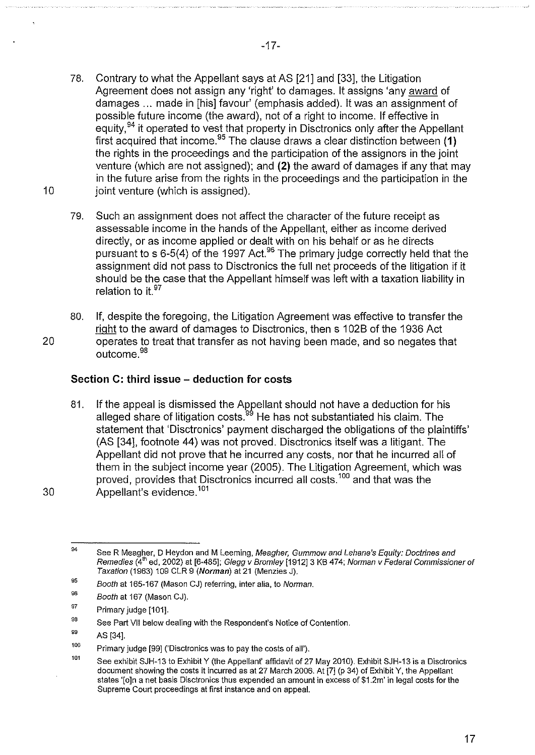- 78. Contrary to what the Appellant says at AS [21] and [33], the Litigation Agreement does not assign any 'right' to damages. It assigns 'any award of damages ... made in [his] favour' (emphasis added). It was an assignment of possible future income (the award), not of a right to income. If effective in equity,  $94$  it operated to vest that property in Disctronics only after the Appellant first acquired that income.<sup>95</sup> The clause draws a clear distinction between (1) the rights in the proceedings and the participation of the assignors in the joint venture (which are not assigned); and **(2)** the award of damages if any that may in the future arise from the rights in the proceedings and the participation in the 10 ioint venture (which is assigned).
	- 79. Such an assignment does not affect the character of the future receipt as assessable income in the hands of the Appellant, either as income derived directly, or as income applied or dealt with on his behalf or as he directs pursuant to s 6-5(4) of the 1997 Act.<sup>96</sup> The primary judge correctly held that the assignment did not pass to Disctronics the full net proceeds of the litigation if it should be the case that the Appellant himself was left with a taxation liability in relation to it.<sup>97</sup>
- 80. If, despite the foregoing, the Litigation Agreement was effective to transfer the right to the award of damages to Disctronics, then s 1 02B of the 1936 Act 20 operates to treat that transfer as not having been made, and so negates that outcome. <sup>98</sup>

# **Section C: third issue- deduction for costs**

81. If the appeal is dismissed the Appellant should not have a deduction for his alleged share of litigation costs.<sup>99</sup> He has not substantiated his claim. The statement that 'Disctronics' payment discharged the obligations of the plaintiffs' (AS [34], footnote 44) was not proved. Disctronics itself was a litigant. The Appellant did not prove that he incurred any costs, nor that he incurred all of them in the subject income year (2005). The Litigation Agreement, which was proved, provides that Disctronics incurred all costs.<sup>100</sup> and that was the 30 Appellant's evidence. <sup>101</sup>

<sup>94</sup>  See R Meagher, D Heydon and M Leeming, Meagher, Gummow and Lehane's Equity: Doctrines and Remedies (4<sup>th</sup> ed, 2002) at [6-485]; Glegg v Bromley [1912] 3 KB 474; Norman v Federal Commissioner of Taxation (1963) 109 CLR 9 (Norman) at 21 (Menzies J).

<sup>95</sup>  Booth at 165-167 (Mason CJ) referring, inter alia, to Norman.

<sup>96</sup>  Booth at 167 (Mason CJ).

<sup>97</sup>  Primary judge [101].

<sup>98</sup>  See Part VII below dealing with the Respondent's Notice of Contention.

<sup>99</sup>  AS [34].

<sup>100</sup>  Primary judge [99] ('Disctronics was to pay the costs of all').

<sup>101</sup>  See exhibit SJH-13 to Exhibit Y (the Appellant' affidavit of 27 May 2010). Exhibit SJH-13 is a Disctronics document showing the costs it incurred as at 27 March 2006. At [7] (p 34) of Exhibit Y, the Appellant states '[o]n a net basis Disctronics thus expended an amount in excess of \$1.2m' in legal costs for the Supreme Court proceedings at first instance and on appeal.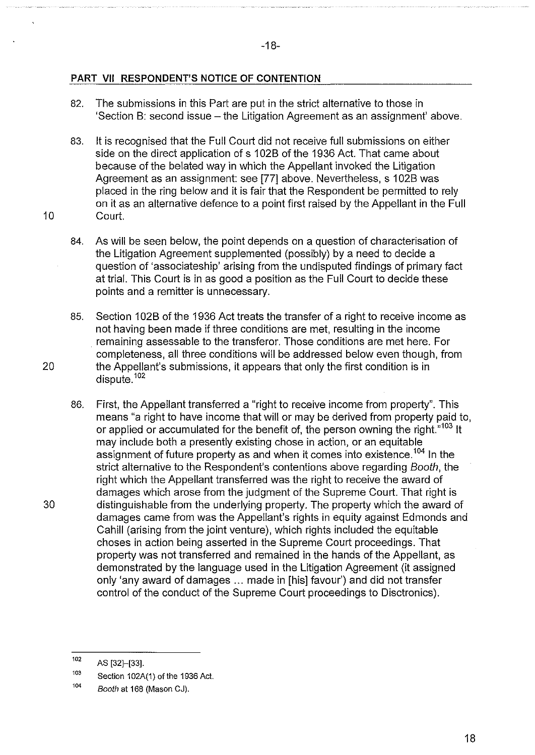# **PART VII RESPONDENT'S NOTICE OF CONTENTION**

- 82. The submissions in this Part are put in the strict alternative to those in 'Section B: second issue – the Litigation Agreement as an assignment' above.
- 83. It is recognised that the Full Court did not receive full submissions on either side on the direct application of s 102B of the 1936 Act. That came about because of the belated way in which the Appellant invoked the Litigation Agreement as an assignment: see [77] above. Nevertheless, s 1 02B was placed in the ring below and it is fair that the Respondent be permitted to rely on it as an alternative defence to a point first raised by the Appellant in the Full 10 Court.
	- 84. As will be seen below, the point depends on a question of characterisation of the Litigation Agreement supplemented (possibly) by a need to decide a question of 'associateship' arising from the undisputed findings of primary fact at trial. This Court is in as good a position as the Full Court to decide these points and a remitter is unnecessary.
- 85. Section 102B of the 1936 Act treats the transfer of a right to receive income as not having been made if three conditions are met, resulting in the income . remaining assessable to the transferor. Those conditions are met here. For completeness, all three conditions will be addressed below even though, from 20 the Appellant's submissions, it appears that only the first condition is in dispute. <sup>102</sup>
- 86. First, the Appellant transferred a "right to receive income from property". This means "a right to have income that will or may be derived from property paid to, or applied or accumulated for the benefit of, the person owning the right."<sup>103</sup> It may include both a presently existing chose in action, or an equitable assignment of future property as and when it comes into existence.<sup>104</sup> In the strict alternative to the Respondent's contentions above regarding Booth, the right which the Appellant transferred was the right to receive the award of damages which arose from the judgment of the Supreme Court. That right is 30 distinguishable from the underlying property. The property which the award of damages came from was the Appellant's rights in equity against Edmonds and Cahill (arising from the joint venture), which rights included the equitable chases in action being asserted in the Supreme Court proceedings. That property was not transferred and remained in the hands of the Appellant, as demonstrated by the language used in the Litigation Agreement (it assigned only 'any award of damages ... made in [his] favour') and did not transfer control of the conduct of the Supreme Court proceedings to Disctronics).

<sup>102</sup>  AS (32]-[33].

<sup>103</sup>  Section 102A(1) of the 1936 Act.

<sup>104</sup>  Booth at 168 (Mason CJ).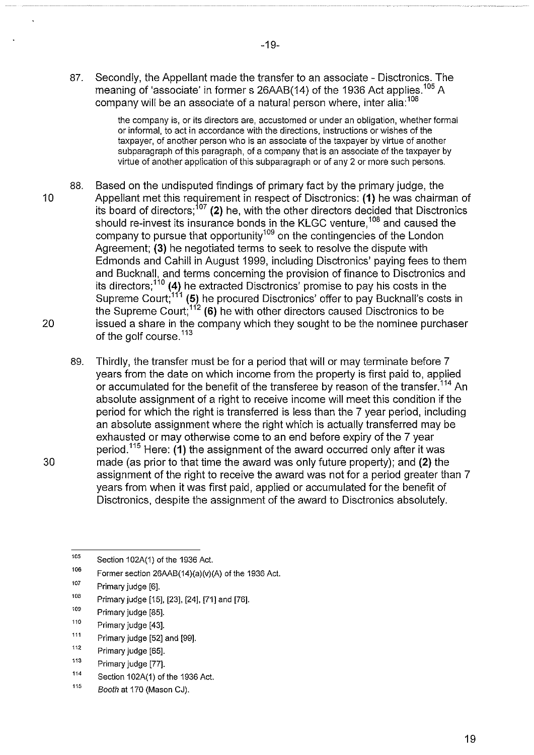87. Secondly, the Appellant made the transfer to an associate- Disctronics. The meaning of 'associate' in former s 26AAB(14) of the 1936 Act applies.<sup>105</sup> A company will be an associate of a natural person where, inter alia:<sup>106</sup>

> the company is, or its directors are, accustomed or under an obligation, whether formal or informal, to act in accordance with the directions, instructions or wishes of the taxpayer, of another person who is an associate of the taxpayer by virtue of another subparagraph of this paragraph, of a company that is an associate of the taxpayer by virtue of another application of this subparagraph or of any 2 or more such persons.

- 88. Based on the undisputed findings of primary fact by the primary judge, the 10 Appellant met this requirement in respect of Disctronics: (1) he was chairman of its board of directors; 107 (2) he, with the other directors decided that Disctronics should re-invest its insurance bonds in the KLGC venture,<sup>108</sup> and caused the company to pursue that opportunity<sup>109</sup> on the contingencies of the London Agreement; (3) he negotiated terms to seek to resolve the dispute with Edmonds and Cahill in August 1999, including Disctronics' paying fees to them and Bucknall, and terms concerning the provision of finance to Disctronics and its directors;  $1^{10}$  (4) he extracted Disctronics' promise to pay his costs in the Supreme Court;<sup>111</sup> (5) he procured Disctronics' offer to pay Bucknall's costs in the Supreme Court;<sup>112</sup> (6) he with other directors caused Disctronics to be 20 issued a share in the company which they sought to be the nominee purchaser of the golf course.<sup>113</sup>
- 89. Thirdly, the transfer must be for a period that will or may terminate before 7 years from the date on which income from the property is first paid to, applied or accumulated for the benefit of the transferee by reason of the transfer.<sup>114</sup> An absolute assignment of a right to receive income will meet this condition if the period for which the right is transferred is less than the 7 year period, including an absolute assignment where the right which is actually transferred may be exhausted or may otherwise come to an end before expiry of the 7 year period.<sup>115</sup> Here: (1) the assignment of the award occurred only after it was 30 made (as prior to that time the award was only future property); and (2) the assignment of the right to receive the award was not for a period greater than 7 years from when it was first paid, applied or accumulated for the benefit of Disctronics, despite the assignment of the award to Disctronics absolutely.

<sup>105</sup>  Section 102A(1) of the 1936 Act.

<sup>106</sup>  Former section 26AAB(14)(a)(v)(A) of the 1936 Act.

<sup>107</sup>  Primary judge [6].

<sup>108</sup>  Primary judge [15], [23], [24], [71] and [76].

<sup>109</sup>  Primary judge [85].

<sup>110</sup>  Primary judge [43].

<sup>111</sup>  Primary judge [52] and [99].

<sup>112</sup>  Primary judge [65].

<sup>113</sup>  Primary judge [77].

<sup>114</sup>  Section 102A(1) of the 1936 Act.

<sup>115</sup>  Booth at 170 (Mason CJ).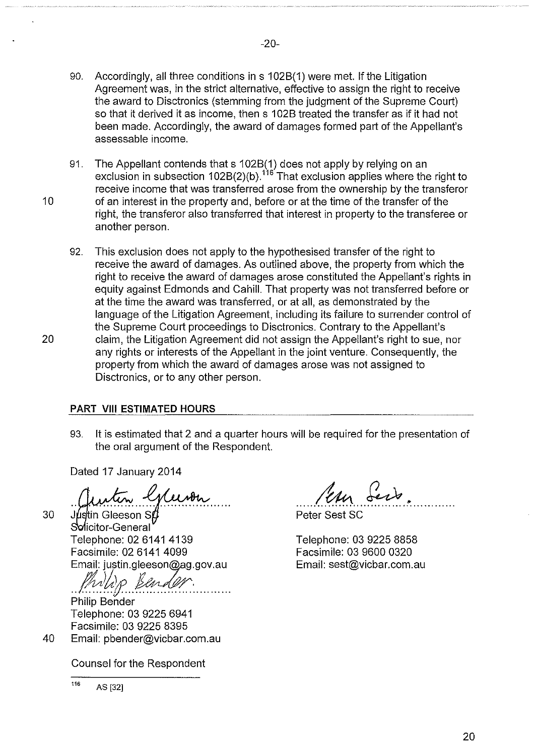- 90. Accordingly, all three conditions in s 1 028(1) were met. If the Litigation Agreement was, in the strict alternative, effective to assign the right to receive the award to Disctronics (stemming from the judgment of the Supreme Court) so that it derived it as income, then s 1028 treated the transfer as if it had not been made. Accordingly, the award of damages formed part of the Appellant's assessable income.
- 91. The Appellant contends that s 1 028(1) does not apply by relying on an exclusion in subsection  $102B(2)$ (b).<sup>116</sup>That exclusion applies where the right to receive income that was transferred arose from the ownership by the transferor 10 of an interest in the property and, before or at the time of the transfer of the right, the transferor also transferred that interest in property to the transferee or another person.
- 92. This exclusion does not apply to the hypothesised transfer of the right to receive the award of damages. As outlined above, the property from which the right to receive the award of damages arose constituted the Appellant's rights in equity against Edmonds and Cahill. That property was not transferred before or at the time the award was transferred, or at all, as demonstrated by the language of the Litigation Agreement, including its failure to surrender control of the Supreme Court proceedings to Disctronics. Contrary to the Appellant's 20 claim, the Litigation Agreement did not assign the Appellant's right to sue, nor any rights or interests of the Appellant in the joint venture. Consequently, the property from which the award of damages arose was not assigned to Disctronics, or to any other person.

## **PART VIII ESTIMATED HOURS**

93. It is estimated that 2 and a quarter hours will be required for the presentation of the oral argument of the Respondent.

Dated 17 January 2014

30

40

Clinten Gleevon

Solicitor-General Telephone: 02 6141 4139 Facsimile: 02 6141 4099 Email: justin.gleeson@ag.gov.au

. .  $/$   $/$   $\cdots$   $/$ We kender.

Philip Bender Telephone: 03 9225 6941 Facsimile: 03 9225 8395 Email: pbender@vicbar.com.au

Counsel for the Respondent

116 AS [32]

Jean Serb

Telephone: 03 9225 8858 Facsimile: 03 9600 0320 Email: sest@vicbar.com.au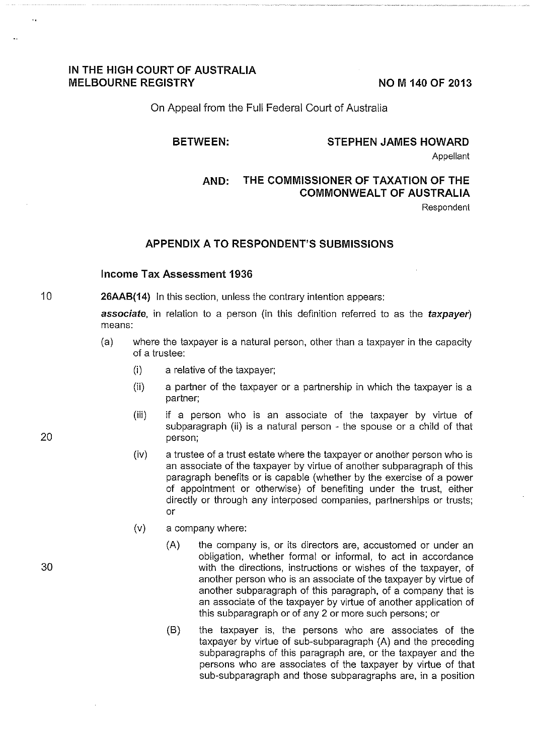## **IN THE HIGH COURT OF AUSTRALIA**  MELBOURNE REGISTRY **NOW 140 OF 2013**

On Appeal from the Full Federal Court of Australia

## **BETWEEN: STEPHEN JAMES HOWARD**

**Appellant** 

# **AND: THE COMMISSIONER OF TAXATION OF THE COMMONWEALT OF AUSTRALIA**

Respondent

## **APPENDIX A TO RESPONDENT'S SUBMISSIONS**

## **Income Tax Assessment 1936**

10 **26AAB(14)** In this section, unless the contrary intention appears:

> **associate,** in relation to a person (in this definition referred to as the **taxpayer)**  means:

- (a) where the taxpayer is a natural person, other than a taxpayer in the capacity of a trustee:
	- (i) a relative of the taxpayer;
	- (ii) a partner of the taxpayer or a partnership in which the taxpayer is a partner;
	- (iii) if a person who is an associate of the taxpayer by virtue of subparagraph (ii) is a natural person - the spouse or a child of that person;
	- (iv) a trustee of a trust estate where the taxpayer or another person who is an associate of the taxpayer by virtue of another subparagraph of this paragraph benefits or is capable (whether by the exercise of a power of appointment or otherwise) of benefiting under the trust, either directly or through any interposed companies, partnerships or trusts; or
	- (v) a company where:
		- (A) the company is, or its directors are, accustomed or under an obligation, whether formal or informal, to act in accordance with the directions, instructions or wishes of the taxpayer, of another person who is an associate of the taxpayer by virtue of another subparagraph of this paragraph, of a company that is an associate of the taxpayer by virtue of another application of this subparagraph or of any 2 or more such persons; or
		- (B) the taxpayer is, the persons who are associates of the taxpayer by virtue of sub-subparagraph (A) and the preceding subparagraphs of this paragraph are, or the taxpayer and the persons who are associates of the taxpayer by virtue of that sub-subparagraph and those subparagraphs are, in a position

20